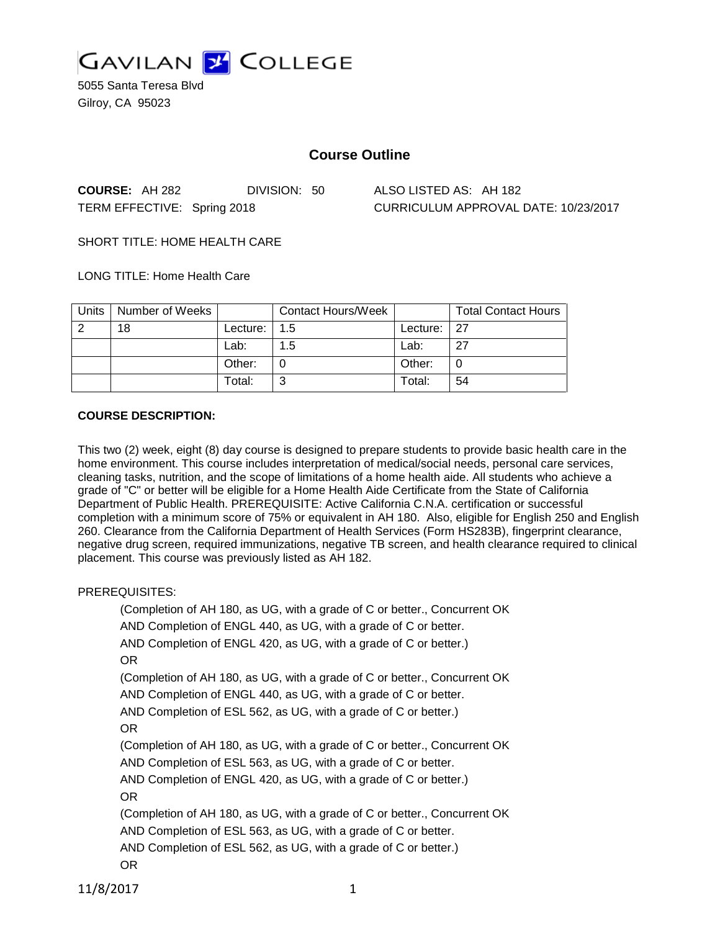

5055 Santa Teresa Blvd Gilroy, CA 95023

# **Course Outline**

**COURSE:** AH 282 DIVISION: 50 ALSO LISTED AS: AH 182 TERM EFFECTIVE: Spring 2018 CURRICULUM APPROVAL DATE: 10/23/2017

SHORT TITLE: HOME HEALTH CARE

LONG TITLE: Home Health Care

| Units | Number of Weeks |            | <b>Contact Hours/Week</b> |          | <b>Total Contact Hours</b> |
|-------|-----------------|------------|---------------------------|----------|----------------------------|
| ာ     | 18              | Lecture: . | 1.5                       | Lecture: | -27                        |
|       |                 | Lab:       | 1.5                       | Lab:     | -27                        |
|       |                 | Other:     |                           | Other:   |                            |
|       |                 | Total:     |                           | Total:   | 54                         |

#### **COURSE DESCRIPTION:**

This two (2) week, eight (8) day course is designed to prepare students to provide basic health care in the home environment. This course includes interpretation of medical/social needs, personal care services, cleaning tasks, nutrition, and the scope of limitations of a home health aide. All students who achieve a grade of "C" or better will be eligible for a Home Health Aide Certificate from the State of California Department of Public Health. PREREQUISITE: Active California C.N.A. certification or successful completion with a minimum score of 75% or equivalent in AH 180. Also, eligible for English 250 and English 260. Clearance from the California Department of Health Services (Form HS283B), fingerprint clearance, negative drug screen, required immunizations, negative TB screen, and health clearance required to clinical placement. This course was previously listed as AH 182.

PREREQUISITES:

(Completion of AH 180, as UG, with a grade of C or better., Concurrent OK AND Completion of ENGL 440, as UG, with a grade of C or better. AND Completion of ENGL 420, as UG, with a grade of C or better.) OR (Completion of AH 180, as UG, with a grade of C or better., Concurrent OK AND Completion of ENGL 440, as UG, with a grade of C or better. AND Completion of ESL 562, as UG, with a grade of C or better.) OR (Completion of AH 180, as UG, with a grade of C or better., Concurrent OK AND Completion of ESL 563, as UG, with a grade of C or better. AND Completion of ENGL 420, as UG, with a grade of C or better.) OR (Completion of AH 180, as UG, with a grade of C or better., Concurrent OK AND Completion of ESL 563, as UG, with a grade of C or better. AND Completion of ESL 562, as UG, with a grade of C or better.) OR

11/8/2017 1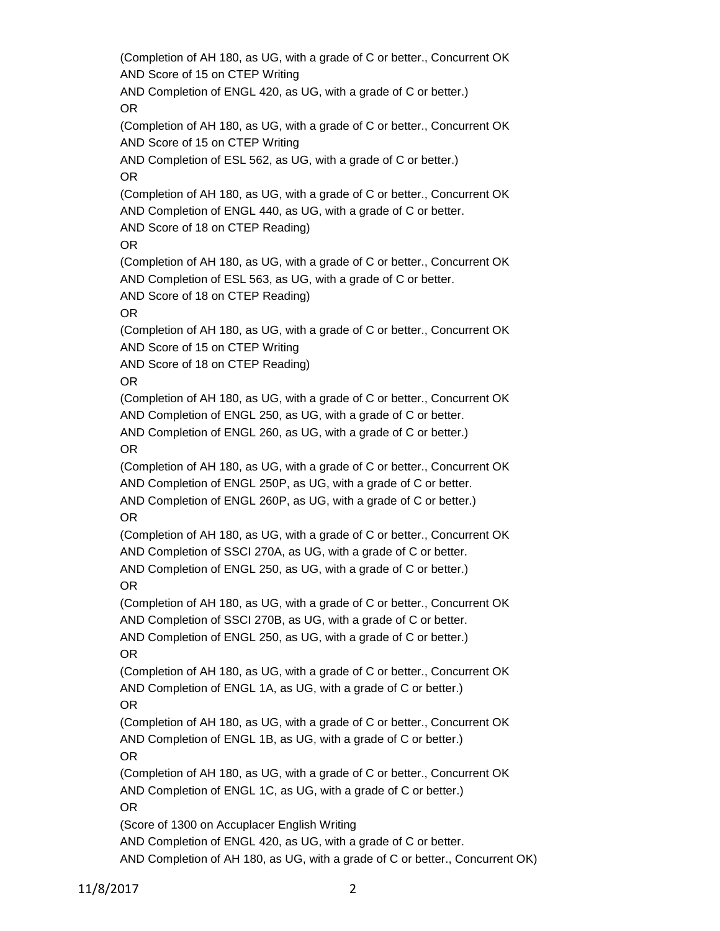(Completion of AH 180, as UG, with a grade of C or better., Concurrent OK AND Score of 15 on CTEP Writing AND Completion of ENGL 420, as UG, with a grade of C or better.) OR (Completion of AH 180, as UG, with a grade of C or better., Concurrent OK AND Score of 15 on CTEP Writing AND Completion of ESL 562, as UG, with a grade of C or better.) OR (Completion of AH 180, as UG, with a grade of C or better., Concurrent OK AND Completion of ENGL 440, as UG, with a grade of C or better. AND Score of 18 on CTEP Reading) OR (Completion of AH 180, as UG, with a grade of C or better., Concurrent OK AND Completion of ESL 563, as UG, with a grade of C or better. AND Score of 18 on CTEP Reading) OR (Completion of AH 180, as UG, with a grade of C or better., Concurrent OK AND Score of 15 on CTEP Writing AND Score of 18 on CTEP Reading) OR (Completion of AH 180, as UG, with a grade of C or better., Concurrent OK AND Completion of ENGL 250, as UG, with a grade of C or better. AND Completion of ENGL 260, as UG, with a grade of C or better.) OR (Completion of AH 180, as UG, with a grade of C or better., Concurrent OK AND Completion of ENGL 250P, as UG, with a grade of C or better. AND Completion of ENGL 260P, as UG, with a grade of C or better.) OR (Completion of AH 180, as UG, with a grade of C or better., Concurrent OK AND Completion of SSCI 270A, as UG, with a grade of C or better. AND Completion of ENGL 250, as UG, with a grade of C or better.) OR (Completion of AH 180, as UG, with a grade of C or better., Concurrent OK AND Completion of SSCI 270B, as UG, with a grade of C or better. AND Completion of ENGL 250, as UG, with a grade of C or better.) OR (Completion of AH 180, as UG, with a grade of C or better., Concurrent OK AND Completion of ENGL 1A, as UG, with a grade of C or better.) OR (Completion of AH 180, as UG, with a grade of C or better., Concurrent OK AND Completion of ENGL 1B, as UG, with a grade of C or better.) OR (Completion of AH 180, as UG, with a grade of C or better., Concurrent OK AND Completion of ENGL 1C, as UG, with a grade of C or better.) OR (Score of 1300 on Accuplacer English Writing AND Completion of ENGL 420, as UG, with a grade of C or better. AND Completion of AH 180, as UG, with a grade of C or better., Concurrent OK)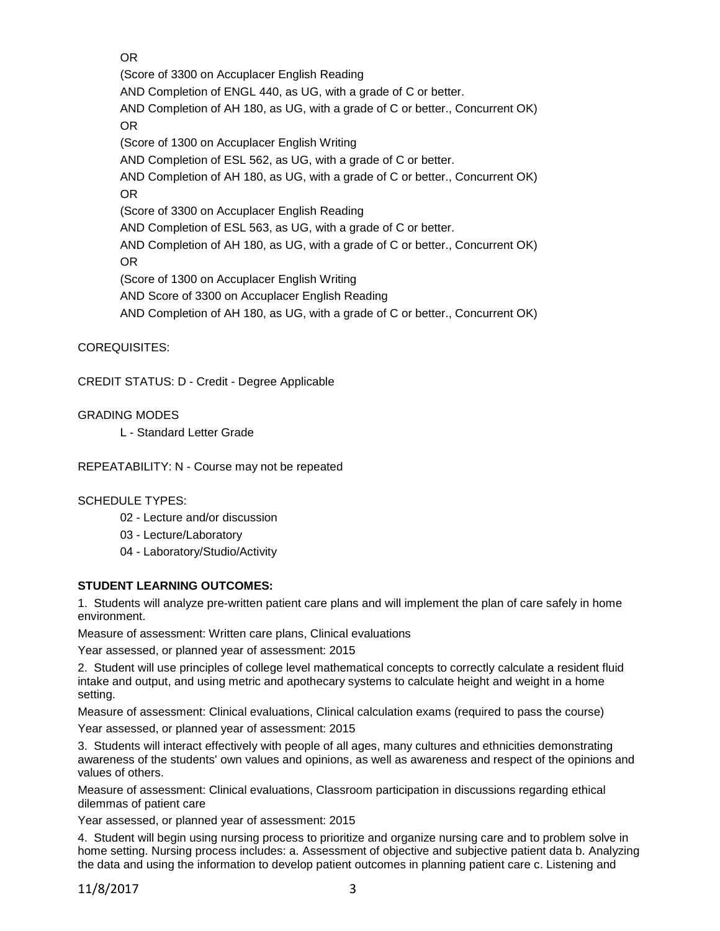OR

(Score of 3300 on Accuplacer English Reading AND Completion of ENGL 440, as UG, with a grade of C or better. AND Completion of AH 180, as UG, with a grade of C or better., Concurrent OK) OR (Score of 1300 on Accuplacer English Writing AND Completion of ESL 562, as UG, with a grade of C or better. AND Completion of AH 180, as UG, with a grade of C or better., Concurrent OK) OR (Score of 3300 on Accuplacer English Reading AND Completion of ESL 563, as UG, with a grade of C or better. AND Completion of AH 180, as UG, with a grade of C or better., Concurrent OK) OR (Score of 1300 on Accuplacer English Writing AND Score of 3300 on Accuplacer English Reading AND Completion of AH 180, as UG, with a grade of C or better., Concurrent OK)

COREQUISITES:

CREDIT STATUS: D - Credit - Degree Applicable

GRADING MODES

L - Standard Letter Grade

REPEATABILITY: N - Course may not be repeated

### SCHEDULE TYPES:

- 02 Lecture and/or discussion
- 03 Lecture/Laboratory
- 04 Laboratory/Studio/Activity

### **STUDENT LEARNING OUTCOMES:**

1. Students will analyze pre-written patient care plans and will implement the plan of care safely in home environment.

Measure of assessment: Written care plans, Clinical evaluations

Year assessed, or planned year of assessment: 2015

2. Student will use principles of college level mathematical concepts to correctly calculate a resident fluid intake and output, and using metric and apothecary systems to calculate height and weight in a home setting.

Measure of assessment: Clinical evaluations, Clinical calculation exams (required to pass the course)

Year assessed, or planned year of assessment: 2015

3. Students will interact effectively with people of all ages, many cultures and ethnicities demonstrating awareness of the students' own values and opinions, as well as awareness and respect of the opinions and values of others.

Measure of assessment: Clinical evaluations, Classroom participation in discussions regarding ethical dilemmas of patient care

Year assessed, or planned year of assessment: 2015

4. Student will begin using nursing process to prioritize and organize nursing care and to problem solve in home setting. Nursing process includes: a. Assessment of objective and subjective patient data b. Analyzing the data and using the information to develop patient outcomes in planning patient care c. Listening and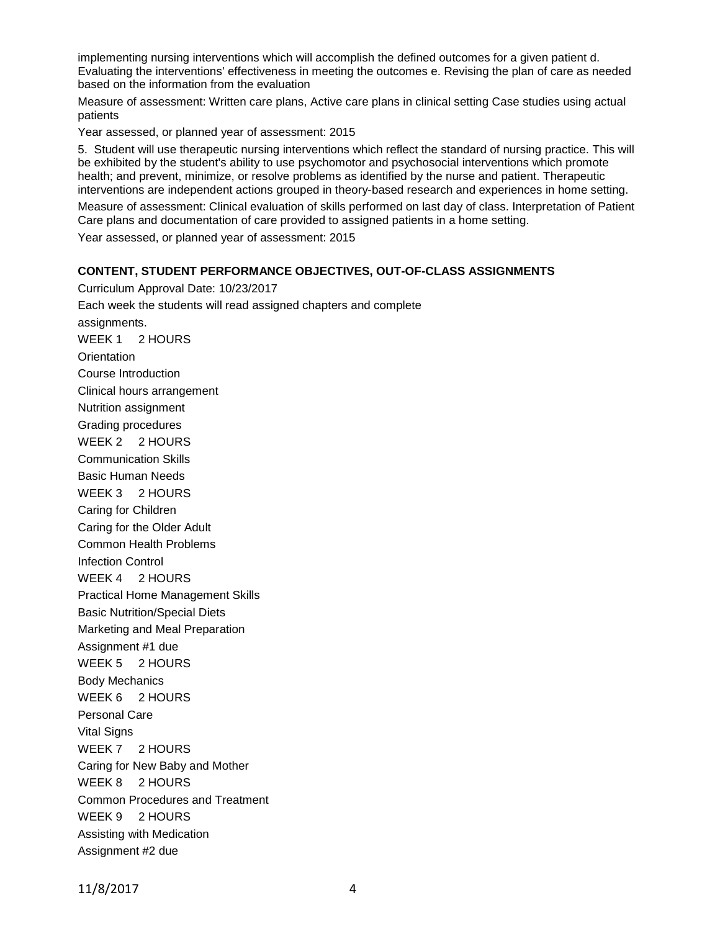implementing nursing interventions which will accomplish the defined outcomes for a given patient d. Evaluating the interventions' effectiveness in meeting the outcomes e. Revising the plan of care as needed based on the information from the evaluation

Measure of assessment: Written care plans, Active care plans in clinical setting Case studies using actual patients

Year assessed, or planned year of assessment: 2015

5. Student will use therapeutic nursing interventions which reflect the standard of nursing practice. This will be exhibited by the student's ability to use psychomotor and psychosocial interventions which promote health; and prevent, minimize, or resolve problems as identified by the nurse and patient. Therapeutic interventions are independent actions grouped in theory-based research and experiences in home setting.

Measure of assessment: Clinical evaluation of skills performed on last day of class. Interpretation of Patient Care plans and documentation of care provided to assigned patients in a home setting.

Year assessed, or planned year of assessment: 2015

#### **CONTENT, STUDENT PERFORMANCE OBJECTIVES, OUT-OF-CLASS ASSIGNMENTS**

Curriculum Approval Date: 10/23/2017 Each week the students will read assigned chapters and complete assignments. WEEK 1 2 HOURS **Orientation** Course Introduction Clinical hours arrangement Nutrition assignment Grading procedures WEEK 2 2 HOURS Communication Skills Basic Human Needs WEEK 3 2 HOURS Caring for Children Caring for the Older Adult Common Health Problems Infection Control WEEK 4 2 HOURS Practical Home Management Skills Basic Nutrition/Special Diets Marketing and Meal Preparation Assignment #1 due WEEK 5 2 HOURS Body Mechanics WEEK 6 2 HOURS Personal Care Vital Signs WEEK 7 2 HOURS Caring for New Baby and Mother WEEK 8 2 HOURS Common Procedures and Treatment WEEK 9 2 HOURS Assisting with Medication Assignment #2 due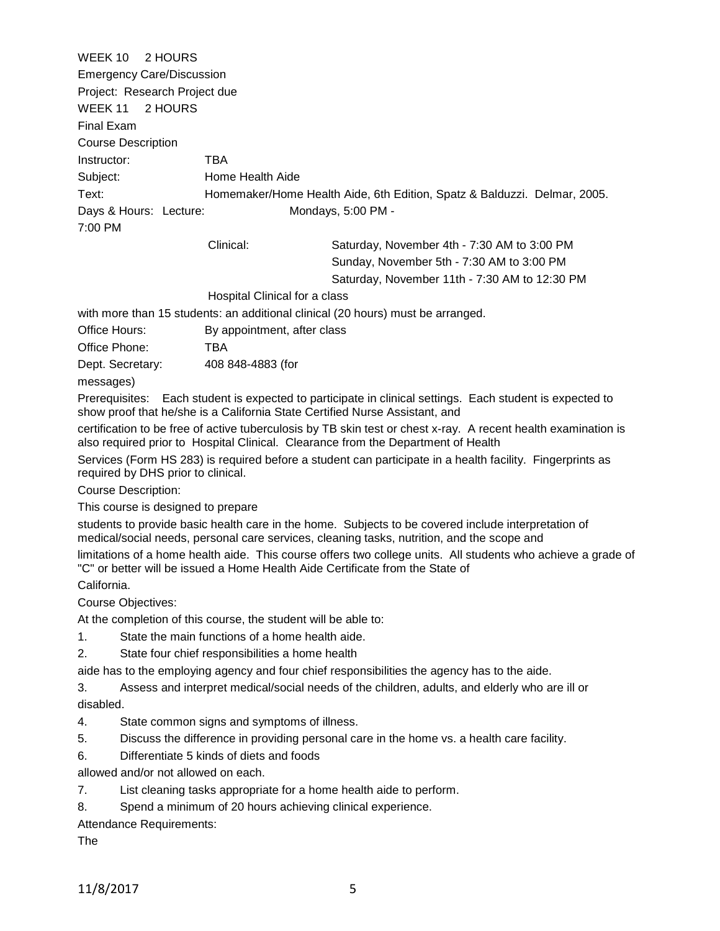WEEK 10 2 HOURS Emergency Care/Discussion Project: Research Project due WEEK 11 2 HOURS Final Exam Course Description Instructor: TBA Subject: Home Health Aide Text: Homemaker/Home Health Aide, 6th Edition, Spatz & Balduzzi. Delmar, 2005. Days & Hours: Lecture: Mondays, 5:00 PM -7:00 PM Clinical: Saturday, November 4th - 7:30 AM to 3:00 PM Sunday, November 5th - 7:30 AM to 3:00 PM Saturday, November 11th - 7:30 AM to 12:30 PM Hospital Clinical for a class with more than 15 students: an additional clinical (20 hours) must be arranged. Office Hours: By appointment, after class Office Phone: TBA Dept. Secretary: 408 848-4883 (for messages) Prerequisites: Each student is expected to participate in clinical settings. Each student is expected to show proof that he/she is a California State Certified Nurse Assistant, and

certification to be free of active tuberculosis by TB skin test or chest x-ray. A recent health examination is also required prior to Hospital Clinical. Clearance from the Department of Health

Services (Form HS 283) is required before a student can participate in a health facility. Fingerprints as required by DHS prior to clinical.

Course Description:

This course is designed to prepare

students to provide basic health care in the home. Subjects to be covered include interpretation of medical/social needs, personal care services, cleaning tasks, nutrition, and the scope and

limitations of a home health aide. This course offers two college units. All students who achieve a grade of "C" or better will be issued a Home Health Aide Certificate from the State of

California.

Course Objectives:

At the completion of this course, the student will be able to:

- 1. State the main functions of a home health aide.
- 2. State four chief responsibilities a home health

aide has to the employing agency and four chief responsibilities the agency has to the aide.

3. Assess and interpret medical/social needs of the children, adults, and elderly who are ill or disabled.

- 4. State common signs and symptoms of illness.
- 5. Discuss the difference in providing personal care in the home vs. a health care facility.
- 6. Differentiate 5 kinds of diets and foods

allowed and/or not allowed on each.

7. List cleaning tasks appropriate for a home health aide to perform.

8. Spend a minimum of 20 hours achieving clinical experience.

Attendance Requirements:

The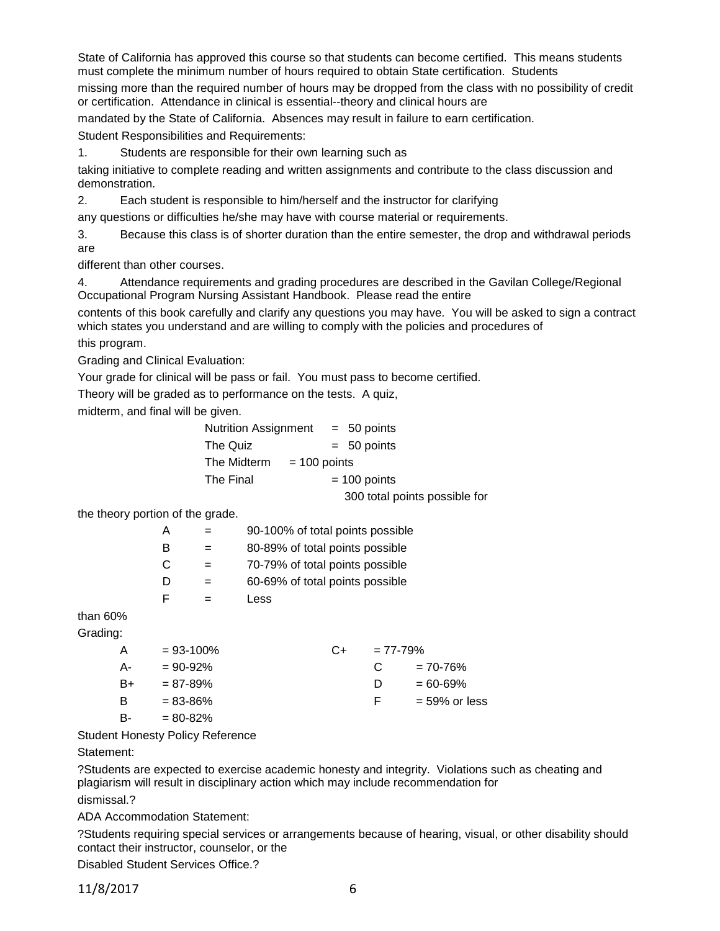State of California has approved this course so that students can become certified. This means students must complete the minimum number of hours required to obtain State certification. Students

missing more than the required number of hours may be dropped from the class with no possibility of credit or certification. Attendance in clinical is essential--theory and clinical hours are

mandated by the State of California. Absences may result in failure to earn certification.

Student Responsibilities and Requirements:

1. Students are responsible for their own learning such as

taking initiative to complete reading and written assignments and contribute to the class discussion and demonstration.

2. Each student is responsible to him/herself and the instructor for clarifying

any questions or difficulties he/she may have with course material or requirements.

3. Because this class is of shorter duration than the entire semester, the drop and withdrawal periods are

different than other courses.

4. Attendance requirements and grading procedures are described in the Gavilan College/Regional Occupational Program Nursing Assistant Handbook. Please read the entire

contents of this book carefully and clarify any questions you may have. You will be asked to sign a contract which states you understand and are willing to comply with the policies and procedures of

this program.

Grading and Clinical Evaluation:

Your grade for clinical will be pass or fail. You must pass to become certified.

Theory will be graded as to performance on the tests. A quiz,

midterm, and final will be given.

| Nutrition Assignment |                | $= 50$ points                 |
|----------------------|----------------|-------------------------------|
| The Quiz             |                | $= 50$ points                 |
| The Midterm          | $= 100$ points |                               |
| The Final            |                | $= 100$ points                |
|                      |                | 300 total points possible for |

the theory portion of the grade.

| А |   | 90-100% of total points possible |  |
|---|---|----------------------------------|--|
| В |   | 80-89% of total points possible  |  |
| С |   | 70-79% of total points possible  |  |
| D |   | 60-69% of total points possible  |  |
| F | - | Less                             |  |
|   |   |                                  |  |

than 60%

Grading:

| A  | $= 93 - 100\%$ | C+ | $= 77 - 79%$ |                  |
|----|----------------|----|--------------|------------------|
| А- | $= 90 - 92%$   |    | C            | $= 70 - 76%$     |
| B+ | $= 87 - 89%$   |    | D            | $= 60 - 69\%$    |
| B  | $= 83 - 86%$   |    | E            | $= 59\%$ or less |
| B- | $= 80 - 82%$   |    |              |                  |

Student Honesty Policy Reference

Statement:

?Students are expected to exercise academic honesty and integrity. Violations such as cheating and plagiarism will result in disciplinary action which may include recommendation for dismissal.?

ADA Accommodation Statement:

?Students requiring special services or arrangements because of hearing, visual, or other disability should contact their instructor, counselor, or the

Disabled Student Services Office.?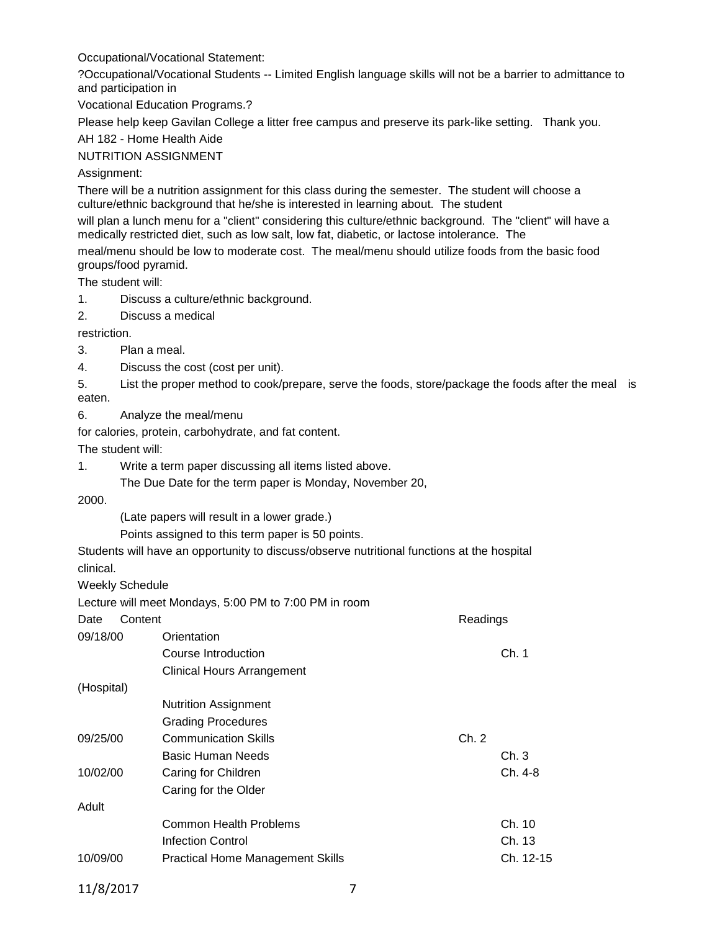Occupational/Vocational Statement:

?Occupational/Vocational Students -- Limited English language skills will not be a barrier to admittance to and participation in

Vocational Education Programs.?

Please help keep Gavilan College a litter free campus and preserve its park-like setting. Thank you.

AH 182 - Home Health Aide

NUTRITION ASSIGNMENT

Assignment:

There will be a nutrition assignment for this class during the semester. The student will choose a culture/ethnic background that he/she is interested in learning about. The student

will plan a lunch menu for a "client" considering this culture/ethnic background. The "client" will have a medically restricted diet, such as low salt, low fat, diabetic, or lactose intolerance. The

meal/menu should be low to moderate cost. The meal/menu should utilize foods from the basic food groups/food pyramid.

The student will:

- 1. Discuss a culture/ethnic background.
- 2. Discuss a medical

restriction.

- 3. Plan a meal.
- 4. Discuss the cost (cost per unit).

5. List the proper method to cook/prepare, serve the foods, store/package the foods after the meal is eaten.

6. Analyze the meal/menu

for calories, protein, carbohydrate, and fat content.

The student will:

1. Write a term paper discussing all items listed above.

The Due Date for the term paper is Monday, November 20,

2000.

(Late papers will result in a lower grade.)

Points assigned to this term paper is 50 points.

Students will have an opportunity to discuss/observe nutritional functions at the hospital clinical.

Weekly Schedule

Lecture will meet Mondays, 5:00 PM to 7:00 PM in room

| Content<br>Date |                                         | Readings  |
|-----------------|-----------------------------------------|-----------|
| 09/18/00        | Orientation                             |           |
|                 | Course Introduction                     | Ch. 1     |
|                 | <b>Clinical Hours Arrangement</b>       |           |
| (Hospital)      |                                         |           |
|                 | <b>Nutrition Assignment</b>             |           |
|                 | <b>Grading Procedures</b>               |           |
| 09/25/00        | <b>Communication Skills</b>             | Ch. 2     |
|                 | Basic Human Needs                       | Ch.3      |
| 10/02/00        | Caring for Children                     | Ch. 4-8   |
|                 | Caring for the Older                    |           |
| Adult           |                                         |           |
|                 | <b>Common Health Problems</b>           | Ch. 10    |
|                 | Infection Control                       | Ch. 13    |
| 10/09/00        | <b>Practical Home Management Skills</b> | Ch. 12-15 |
|                 |                                         |           |

11/8/2017 7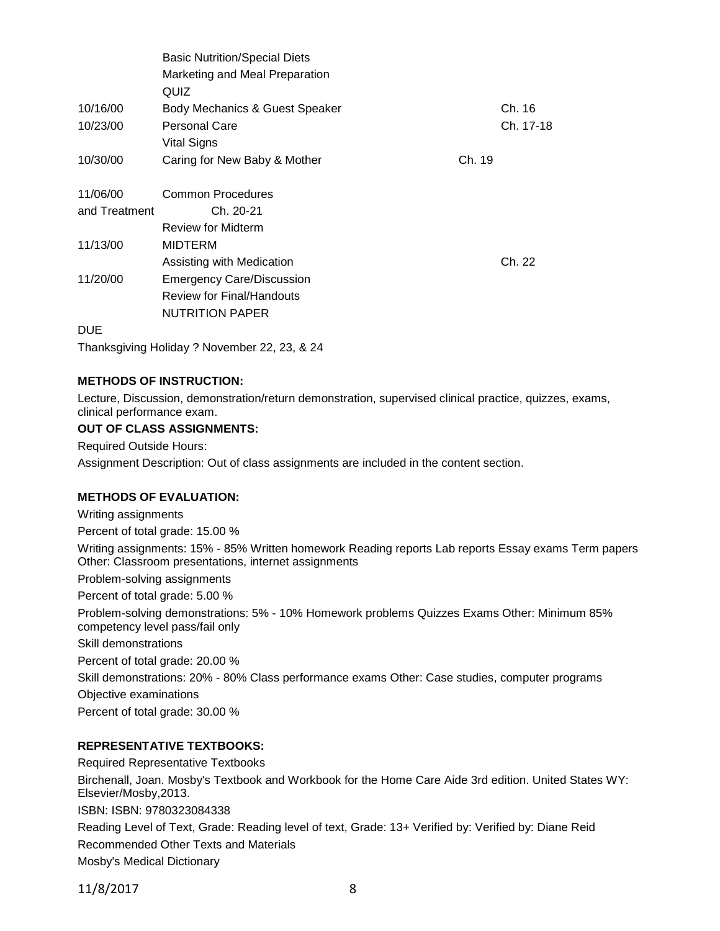|               | <b>Basic Nutrition/Special Diets</b> |        |           |
|---------------|--------------------------------------|--------|-----------|
|               | Marketing and Meal Preparation       |        |           |
|               | QUIZ                                 |        |           |
| 10/16/00      | Body Mechanics & Guest Speaker       |        | Ch. 16    |
| 10/23/00      | <b>Personal Care</b>                 |        | Ch. 17-18 |
|               | Vital Signs                          |        |           |
| 10/30/00      | Caring for New Baby & Mother         | Ch. 19 |           |
| 11/06/00      | Common Procedures                    |        |           |
| and Treatment | Ch. 20-21                            |        |           |
|               | <b>Review for Midterm</b>            |        |           |
| 11/13/00      | <b>MIDTERM</b>                       |        |           |
|               | Assisting with Medication            |        | Ch. 22    |
| 11/20/00      | <b>Emergency Care/Discussion</b>     |        |           |
|               | <b>Review for Final/Handouts</b>     |        |           |
|               | <b>NUTRITION PAPER</b>               |        |           |
| <b>DUE</b>    |                                      |        |           |

Thanksgiving Holiday ? November 22, 23, & 24

### **METHODS OF INSTRUCTION:**

Lecture, Discussion, demonstration/return demonstration, supervised clinical practice, quizzes, exams, clinical performance exam.

#### **OUT OF CLASS ASSIGNMENTS:**

Required Outside Hours:

Assignment Description: Out of class assignments are included in the content section.

### **METHODS OF EVALUATION:**

Writing assignments Percent of total grade: 15.00 % Writing assignments: 15% - 85% Written homework Reading reports Lab reports Essay exams Term papers Other: Classroom presentations, internet assignments Problem-solving assignments Percent of total grade: 5.00 % Problem-solving demonstrations: 5% - 10% Homework problems Quizzes Exams Other: Minimum 85% competency level pass/fail only Skill demonstrations Percent of total grade: 20.00 % Skill demonstrations: 20% - 80% Class performance exams Other: Case studies, computer programs Objective examinations Percent of total grade: 30.00 %

### **REPRESENTATIVE TEXTBOOKS:**

Required Representative Textbooks Birchenall, Joan. Mosby's Textbook and Workbook for the Home Care Aide 3rd edition. United States WY: Elsevier/Mosby,2013. ISBN: ISBN: 9780323084338 Reading Level of Text, Grade: Reading level of text, Grade: 13+ Verified by: Verified by: Diane Reid Recommended Other Texts and Materials Mosby's Medical Dictionary

11/8/2017 8